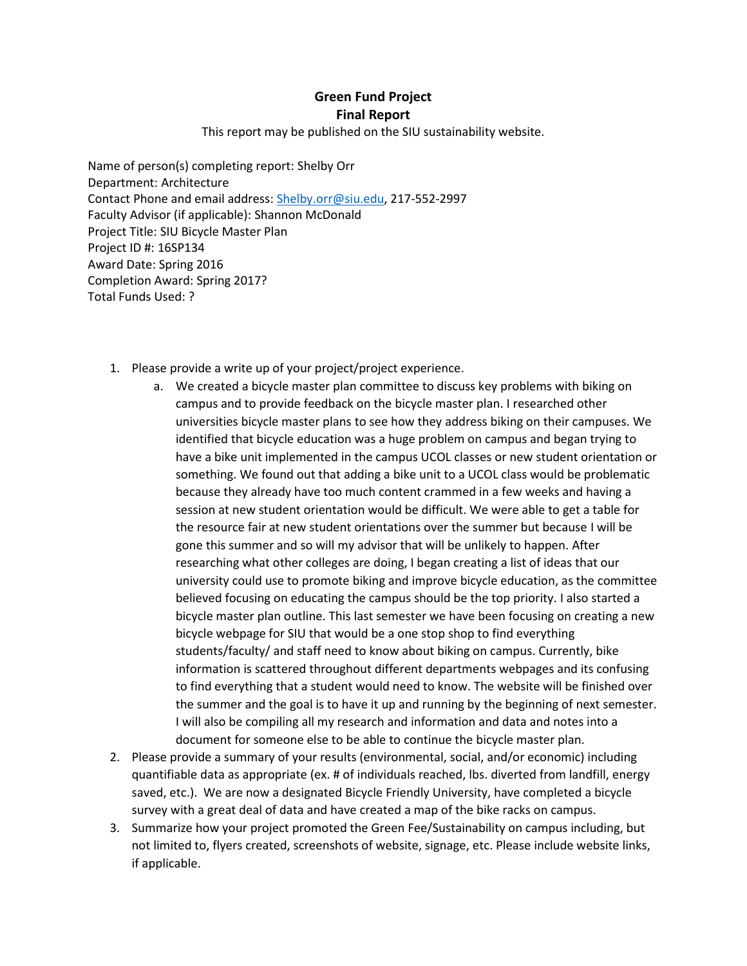## **Green Fund Project Final Report**

This report may be published on the SIU sustainability website.

Name of person(s) completing report: Shelby Orr Department: Architecture Contact Phone and email address: [Shelby.orr@siu.edu,](mailto:Shelby.orr@siu.edu) 217-552-2997 Faculty Advisor (if applicable): Shannon McDonald Project Title: SIU Bicycle Master Plan Project ID #: 16SP134 Award Date: Spring 2016 Completion Award: Spring 2017? Total Funds Used: ?

- 1. Please provide a write up of your project/project experience.
	- a. We created a bicycle master plan committee to discuss key problems with biking on campus and to provide feedback on the bicycle master plan. I researched other universities bicycle master plans to see how they address biking on their campuses. We identified that bicycle education was a huge problem on campus and began trying to have a bike unit implemented in the campus UCOL classes or new student orientation or something. We found out that adding a bike unit to a UCOL class would be problematic because they already have too much content crammed in a few weeks and having a session at new student orientation would be difficult. We were able to get a table for the resource fair at new student orientations over the summer but because I will be gone this summer and so will my advisor that will be unlikely to happen. After researching what other colleges are doing, I began creating a list of ideas that our university could use to promote biking and improve bicycle education, as the committee believed focusing on educating the campus should be the top priority. I also started a bicycle master plan outline. This last semester we have been focusing on creating a new bicycle webpage for SIU that would be a one stop shop to find everything students/faculty/ and staff need to know about biking on campus. Currently, bike information is scattered throughout different departments webpages and its confusing to find everything that a student would need to know. The website will be finished over the summer and the goal is to have it up and running by the beginning of next semester. I will also be compiling all my research and information and data and notes into a document for someone else to be able to continue the bicycle master plan.
- 2. Please provide a summary of your results (environmental, social, and/or economic) including quantifiable data as appropriate (ex. # of individuals reached, lbs. diverted from landfill, energy saved, etc.). We are now a designated Bicycle Friendly University, have completed a bicycle survey with a great deal of data and have created a map of the bike racks on campus.
- 3. Summarize how your project promoted the Green Fee/Sustainability on campus including, but not limited to, flyers created, screenshots of website, signage, etc. Please include website links, if applicable.